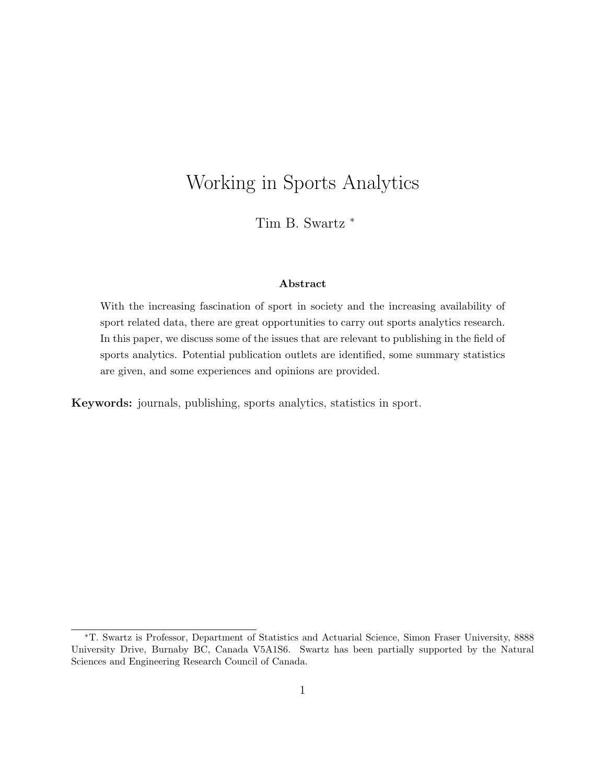# Working in Sports Analytics

Tim B. Swartz <sup>∗</sup>

#### Abstract

With the increasing fascination of sport in society and the increasing availability of sport related data, there are great opportunities to carry out sports analytics research. In this paper, we discuss some of the issues that are relevant to publishing in the field of sports analytics. Potential publication outlets are identified, some summary statistics are given, and some experiences and opinions are provided.

Keywords: journals, publishing, sports analytics, statistics in sport.

<sup>∗</sup>T. Swartz is Professor, Department of Statistics and Actuarial Science, Simon Fraser University, 8888 University Drive, Burnaby BC, Canada V5A1S6. Swartz has been partially supported by the Natural Sciences and Engineering Research Council of Canada.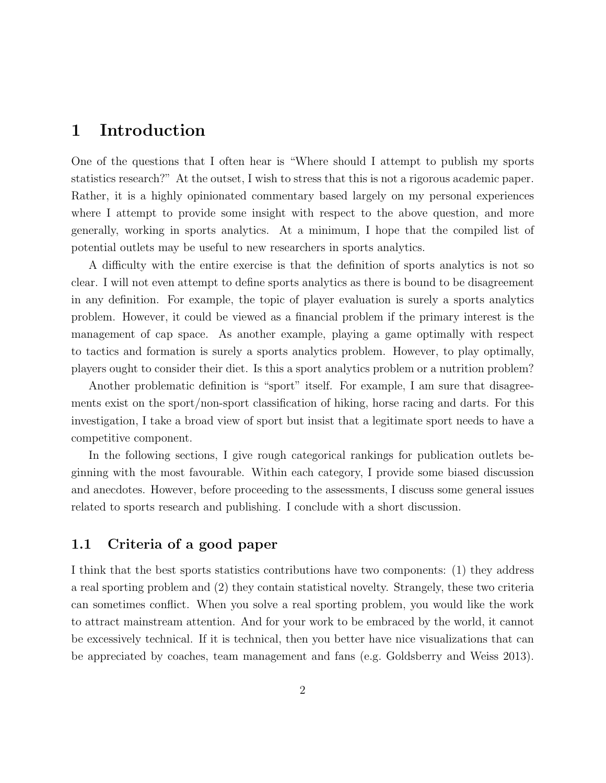### 1 Introduction

One of the questions that I often hear is "Where should I attempt to publish my sports statistics research?" At the outset, I wish to stress that this is not a rigorous academic paper. Rather, it is a highly opinionated commentary based largely on my personal experiences where I attempt to provide some insight with respect to the above question, and more generally, working in sports analytics. At a minimum, I hope that the compiled list of potential outlets may be useful to new researchers in sports analytics.

A difficulty with the entire exercise is that the definition of sports analytics is not so clear. I will not even attempt to define sports analytics as there is bound to be disagreement in any definition. For example, the topic of player evaluation is surely a sports analytics problem. However, it could be viewed as a financial problem if the primary interest is the management of cap space. As another example, playing a game optimally with respect to tactics and formation is surely a sports analytics problem. However, to play optimally, players ought to consider their diet. Is this a sport analytics problem or a nutrition problem?

Another problematic definition is "sport" itself. For example, I am sure that disagreements exist on the sport/non-sport classification of hiking, horse racing and darts. For this investigation, I take a broad view of sport but insist that a legitimate sport needs to have a competitive component.

In the following sections, I give rough categorical rankings for publication outlets beginning with the most favourable. Within each category, I provide some biased discussion and anecdotes. However, before proceeding to the assessments, I discuss some general issues related to sports research and publishing. I conclude with a short discussion.

#### 1.1 Criteria of a good paper

I think that the best sports statistics contributions have two components: (1) they address a real sporting problem and (2) they contain statistical novelty. Strangely, these two criteria can sometimes conflict. When you solve a real sporting problem, you would like the work to attract mainstream attention. And for your work to be embraced by the world, it cannot be excessively technical. If it is technical, then you better have nice visualizations that can be appreciated by coaches, team management and fans (e.g. Goldsberry and Weiss 2013).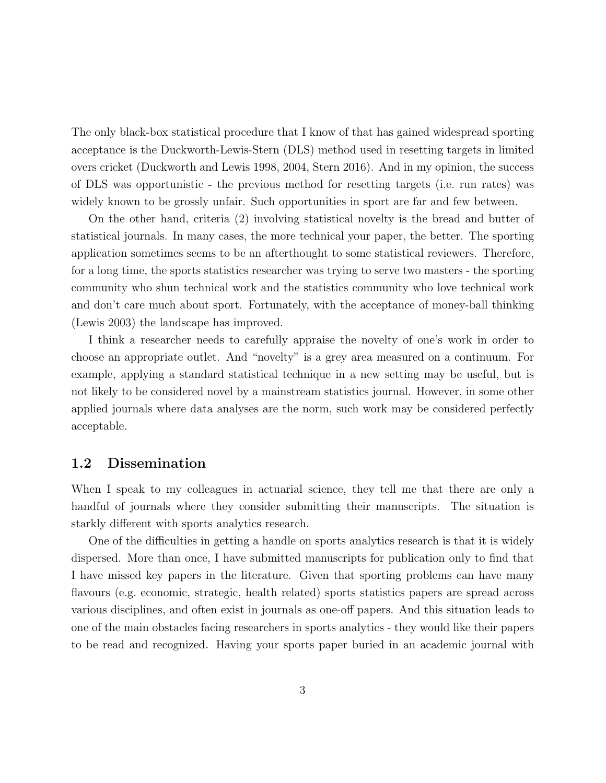The only black-box statistical procedure that I know of that has gained widespread sporting acceptance is the Duckworth-Lewis-Stern (DLS) method used in resetting targets in limited overs cricket (Duckworth and Lewis 1998, 2004, Stern 2016). And in my opinion, the success of DLS was opportunistic - the previous method for resetting targets (i.e. run rates) was widely known to be grossly unfair. Such opportunities in sport are far and few between.

On the other hand, criteria (2) involving statistical novelty is the bread and butter of statistical journals. In many cases, the more technical your paper, the better. The sporting application sometimes seems to be an afterthought to some statistical reviewers. Therefore, for a long time, the sports statistics researcher was trying to serve two masters - the sporting community who shun technical work and the statistics community who love technical work and don't care much about sport. Fortunately, with the acceptance of money-ball thinking (Lewis 2003) the landscape has improved.

I think a researcher needs to carefully appraise the novelty of one's work in order to choose an appropriate outlet. And "novelty" is a grey area measured on a continuum. For example, applying a standard statistical technique in a new setting may be useful, but is not likely to be considered novel by a mainstream statistics journal. However, in some other applied journals where data analyses are the norm, such work may be considered perfectly acceptable.

#### 1.2 Dissemination

When I speak to my colleagues in actuarial science, they tell me that there are only a handful of journals where they consider submitting their manuscripts. The situation is starkly different with sports analytics research.

One of the difficulties in getting a handle on sports analytics research is that it is widely dispersed. More than once, I have submitted manuscripts for publication only to find that I have missed key papers in the literature. Given that sporting problems can have many flavours (e.g. economic, strategic, health related) sports statistics papers are spread across various disciplines, and often exist in journals as one-off papers. And this situation leads to one of the main obstacles facing researchers in sports analytics - they would like their papers to be read and recognized. Having your sports paper buried in an academic journal with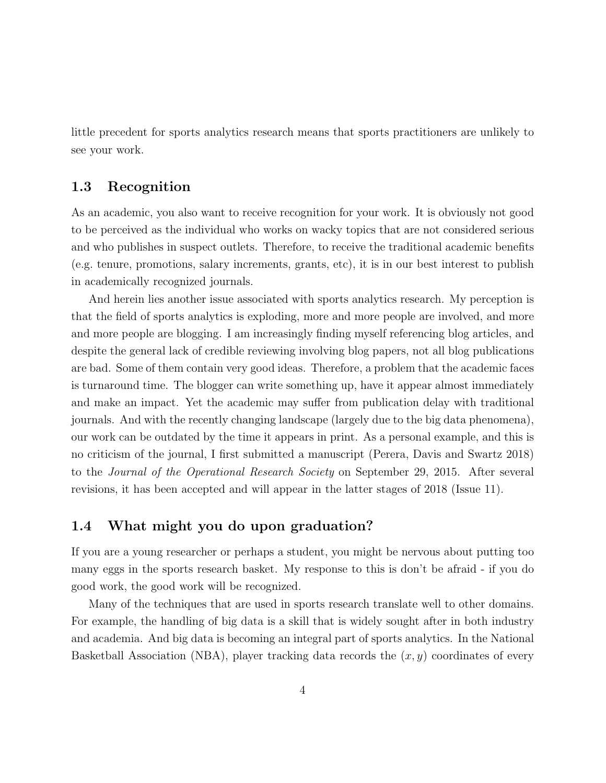little precedent for sports analytics research means that sports practitioners are unlikely to see your work.

#### 1.3 Recognition

As an academic, you also want to receive recognition for your work. It is obviously not good to be perceived as the individual who works on wacky topics that are not considered serious and who publishes in suspect outlets. Therefore, to receive the traditional academic benefits (e.g. tenure, promotions, salary increments, grants, etc), it is in our best interest to publish in academically recognized journals.

And herein lies another issue associated with sports analytics research. My perception is that the field of sports analytics is exploding, more and more people are involved, and more and more people are blogging. I am increasingly finding myself referencing blog articles, and despite the general lack of credible reviewing involving blog papers, not all blog publications are bad. Some of them contain very good ideas. Therefore, a problem that the academic faces is turnaround time. The blogger can write something up, have it appear almost immediately and make an impact. Yet the academic may suffer from publication delay with traditional journals. And with the recently changing landscape (largely due to the big data phenomena), our work can be outdated by the time it appears in print. As a personal example, and this is no criticism of the journal, I first submitted a manuscript (Perera, Davis and Swartz 2018) to the Journal of the Operational Research Society on September 29, 2015. After several revisions, it has been accepted and will appear in the latter stages of 2018 (Issue 11).

#### 1.4 What might you do upon graduation?

If you are a young researcher or perhaps a student, you might be nervous about putting too many eggs in the sports research basket. My response to this is don't be afraid - if you do good work, the good work will be recognized.

Many of the techniques that are used in sports research translate well to other domains. For example, the handling of big data is a skill that is widely sought after in both industry and academia. And big data is becoming an integral part of sports analytics. In the National Basketball Association (NBA), player tracking data records the  $(x, y)$  coordinates of every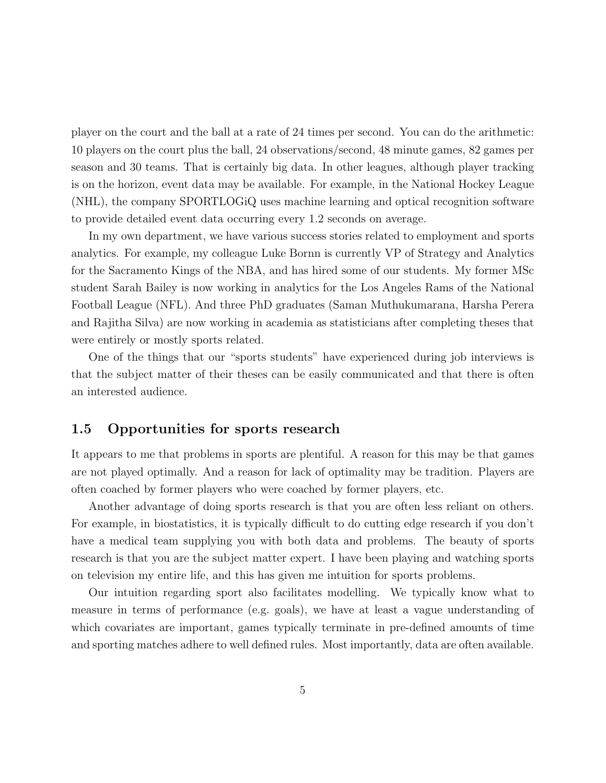player on the court and the ball at a rate of 24 times per second. You can do the arithmetic: 10 players on the court plus the ball, 24 observations/second, 48 minute games, 82 games per season and 30 teams. That is certainly big data. In other leagues, although player tracking is on the horizon, event data may be available. For example, in the National Hockey League (NHL), the company SPORTLOGiQ uses machine learning and optical recognition software to provide detailed event data occurring every 1.2 seconds on average.

In my own department, we have various success stories related to employment and sports analytics. For example, my colleague Luke Bornn is currently VP of Strategy and Analytics for the Sacramento Kings of the NBA, and has hired some of our students. My former MSc student Sarah Bailey is now working in analytics for the Los Angeles Rams of the National Football League (NFL). And three PhD graduates (Saman Muthukumarana, Harsha Perera and Rajitha Silva) are now working in academia as statisticians after completing theses that were entirely or mostly sports related.

One of the things that our "sports students" have experienced during job interviews is that the subject matter of their theses can be easily communicated and that there is often an interested audience.

#### 1.5 Opportunities for sports research

It appears to me that problems in sports are plentiful. A reason for this may be that games are not played optimally. And a reason for lack of optimality may be tradition. Players are often coached by former players who were coached by former players, etc.

Another advantage of doing sports research is that you are often less reliant on others. For example, in biostatistics, it is typically difficult to do cutting edge research if you don't have a medical team supplying you with both data and problems. The beauty of sports research is that you are the subject matter expert. I have been playing and watching sports on television my entire life, and this has given me intuition for sports problems.

Our intuition regarding sport also facilitates modelling. We typically know what to measure in terms of performance (e.g. goals), we have at least a vague understanding of which covariates are important, games typically terminate in pre-defined amounts of time and sporting matches adhere to well defined rules. Most importantly, data are often available.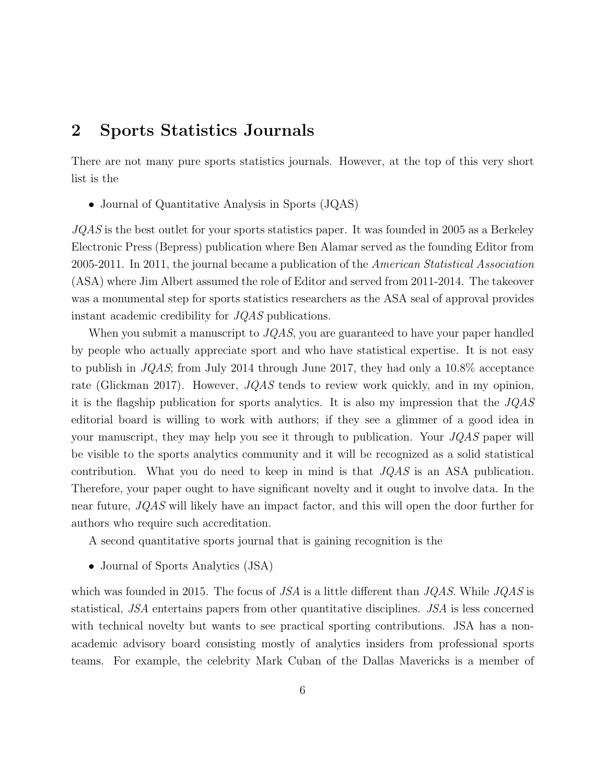### 2 Sports Statistics Journals

There are not many pure sports statistics journals. However, at the top of this very short list is the

• Journal of Quantitative Analysis in Sports (JQAS)

JQAS is the best outlet for your sports statistics paper. It was founded in 2005 as a Berkeley Electronic Press (Bepress) publication where Ben Alamar served as the founding Editor from 2005-2011. In 2011, the journal became a publication of the American Statistical Association (ASA) where Jim Albert assumed the role of Editor and served from 2011-2014. The takeover was a monumental step for sports statistics researchers as the ASA seal of approval provides instant academic credibility for JQAS publications.

When you submit a manuscript to  $JQAS$ , you are guaranteed to have your paper handled by people who actually appreciate sport and who have statistical expertise. It is not easy to publish in JQAS; from July 2014 through June 2017, they had only a 10.8% acceptance rate (Glickman 2017). However,  $JQAS$  tends to review work quickly, and in my opinion, it is the flagship publication for sports analytics. It is also my impression that the  $JQAS$ editorial board is willing to work with authors; if they see a glimmer of a good idea in your manuscript, they may help you see it through to publication. Your JQAS paper will be visible to the sports analytics community and it will be recognized as a solid statistical contribution. What you do need to keep in mind is that JQAS is an ASA publication. Therefore, your paper ought to have significant novelty and it ought to involve data. In the near future, JQAS will likely have an impact factor, and this will open the door further for authors who require such accreditation.

A second quantitative sports journal that is gaining recognition is the

• Journal of Sports Analytics (JSA)

which was founded in 2015. The focus of  $JSA$  is a little different than  $JQAS$ . While  $JQAS$  is statistical, JSA entertains papers from other quantitative disciplines. JSA is less concerned with technical novelty but wants to see practical sporting contributions. JSA has a nonacademic advisory board consisting mostly of analytics insiders from professional sports teams. For example, the celebrity Mark Cuban of the Dallas Mavericks is a member of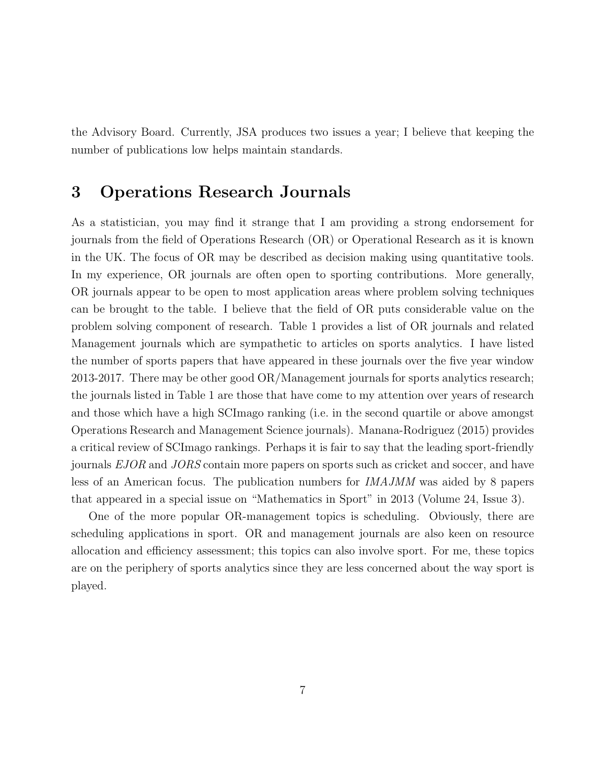the Advisory Board. Currently, JSA produces two issues a year; I believe that keeping the number of publications low helps maintain standards.

### 3 Operations Research Journals

As a statistician, you may find it strange that I am providing a strong endorsement for journals from the field of Operations Research (OR) or Operational Research as it is known in the UK. The focus of OR may be described as decision making using quantitative tools. In my experience, OR journals are often open to sporting contributions. More generally, OR journals appear to be open to most application areas where problem solving techniques can be brought to the table. I believe that the field of OR puts considerable value on the problem solving component of research. Table 1 provides a list of OR journals and related Management journals which are sympathetic to articles on sports analytics. I have listed the number of sports papers that have appeared in these journals over the five year window 2013-2017. There may be other good OR/Management journals for sports analytics research; the journals listed in Table 1 are those that have come to my attention over years of research and those which have a high SCImago ranking (i.e. in the second quartile or above amongst Operations Research and Management Science journals). Manana-Rodriguez (2015) provides a critical review of SCImago rankings. Perhaps it is fair to say that the leading sport-friendly journals EJOR and JORS contain more papers on sports such as cricket and soccer, and have less of an American focus. The publication numbers for IMAJMM was aided by 8 papers that appeared in a special issue on "Mathematics in Sport" in 2013 (Volume 24, Issue 3).

One of the more popular OR-management topics is scheduling. Obviously, there are scheduling applications in sport. OR and management journals are also keen on resource allocation and efficiency assessment; this topics can also involve sport. For me, these topics are on the periphery of sports analytics since they are less concerned about the way sport is played.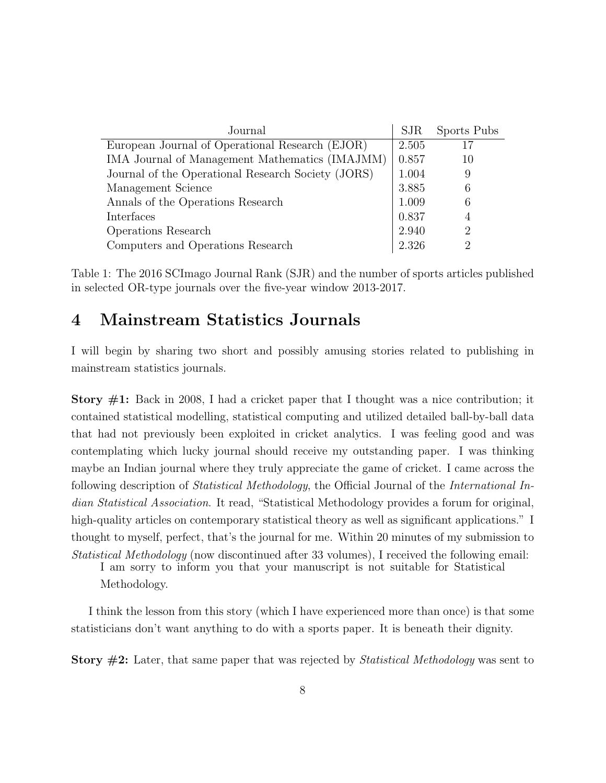| Journal                                            | <b>SJR</b> | Sports Pubs    |
|----------------------------------------------------|------------|----------------|
| European Journal of Operational Research (EJOR)    | 2.505      | 17             |
| IMA Journal of Management Mathematics (IMAJMM)     | 0.857      | 10             |
| Journal of the Operational Research Society (JORS) | 1.004      | 9              |
| Management Science                                 | 3.885      | 6              |
| Annals of the Operations Research                  | 1.009      | 6              |
| Interfaces                                         | 0.837      | $\overline{4}$ |
| Operations Research                                | 2.940      | $\overline{2}$ |
| Computers and Operations Research                  | 2.326      | 2              |

Table 1: The 2016 SCImago Journal Rank (SJR) and the number of sports articles published in selected OR-type journals over the five-year window 2013-2017.

### 4 Mainstream Statistics Journals

I will begin by sharing two short and possibly amusing stories related to publishing in mainstream statistics journals.

**Story**  $\#1$ : Back in 2008, I had a cricket paper that I thought was a nice contribution; it contained statistical modelling, statistical computing and utilized detailed ball-by-ball data that had not previously been exploited in cricket analytics. I was feeling good and was contemplating which lucky journal should receive my outstanding paper. I was thinking maybe an Indian journal where they truly appreciate the game of cricket. I came across the following description of *Statistical Methodology*, the Official Journal of the *International In*dian Statistical Association. It read, "Statistical Methodology provides a forum for original, high-quality articles on contemporary statistical theory as well as significant applications." I thought to myself, perfect, that's the journal for me. Within 20 minutes of my submission to Statistical Methodology (now discontinued after 33 volumes), I received the following email:

I am sorry to inform you that your manuscript is not suitable for Statistical Methodology.

I think the lesson from this story (which I have experienced more than once) is that some statisticians don't want anything to do with a sports paper. It is beneath their dignity.

**Story**  $\#2$ **:** Later, that same paper that was rejected by *Statistical Methodology* was sent to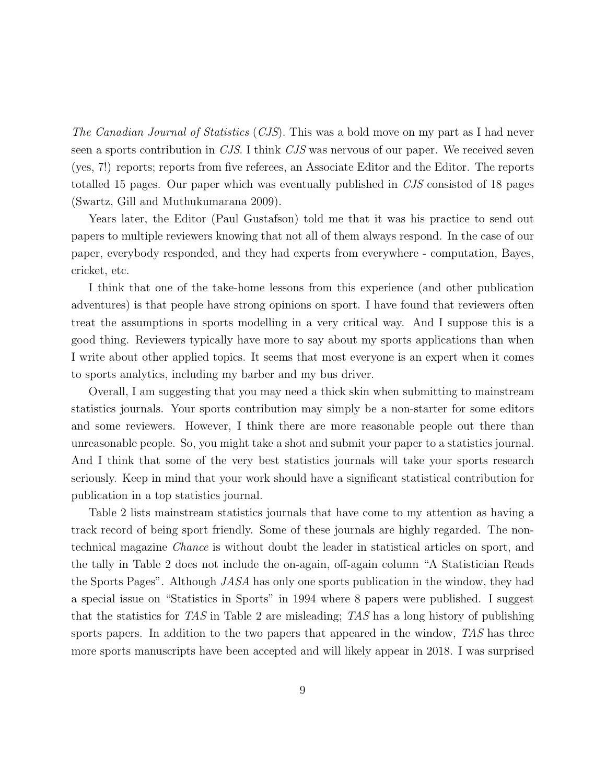The Canadian Journal of Statistics (CJS). This was a bold move on my part as I had never seen a sports contribution in CJS. I think CJS was nervous of our paper. We received seven (yes, 7!) reports; reports from five referees, an Associate Editor and the Editor. The reports totalled 15 pages. Our paper which was eventually published in CJS consisted of 18 pages (Swartz, Gill and Muthukumarana 2009).

Years later, the Editor (Paul Gustafson) told me that it was his practice to send out papers to multiple reviewers knowing that not all of them always respond. In the case of our paper, everybody responded, and they had experts from everywhere - computation, Bayes, cricket, etc.

I think that one of the take-home lessons from this experience (and other publication adventures) is that people have strong opinions on sport. I have found that reviewers often treat the assumptions in sports modelling in a very critical way. And I suppose this is a good thing. Reviewers typically have more to say about my sports applications than when I write about other applied topics. It seems that most everyone is an expert when it comes to sports analytics, including my barber and my bus driver.

Overall, I am suggesting that you may need a thick skin when submitting to mainstream statistics journals. Your sports contribution may simply be a non-starter for some editors and some reviewers. However, I think there are more reasonable people out there than unreasonable people. So, you might take a shot and submit your paper to a statistics journal. And I think that some of the very best statistics journals will take your sports research seriously. Keep in mind that your work should have a significant statistical contribution for publication in a top statistics journal.

Table 2 lists mainstream statistics journals that have come to my attention as having a track record of being sport friendly. Some of these journals are highly regarded. The nontechnical magazine Chance is without doubt the leader in statistical articles on sport, and the tally in Table 2 does not include the on-again, off-again column "A Statistician Reads the Sports Pages". Although JASA has only one sports publication in the window, they had a special issue on "Statistics in Sports" in 1994 where 8 papers were published. I suggest that the statistics for TAS in Table 2 are misleading; TAS has a long history of publishing sports papers. In addition to the two papers that appeared in the window, TAS has three more sports manuscripts have been accepted and will likely appear in 2018. I was surprised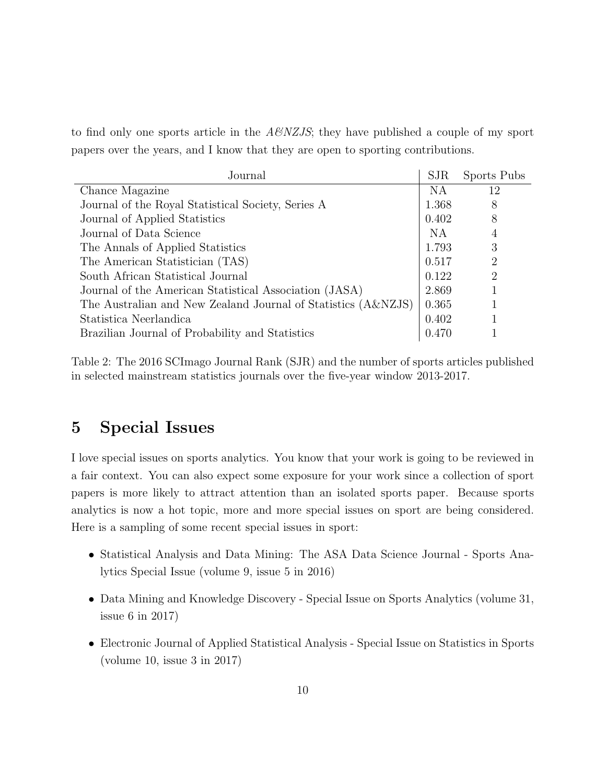to find only one sports article in the  $A\&NZJS$ ; they have published a couple of my sport papers over the years, and I know that they are open to sporting contributions.

| Journal                                                       | <b>SJR</b> | Sports Pubs    |
|---------------------------------------------------------------|------------|----------------|
| Chance Magazine                                               | NA         | 12             |
| Journal of the Royal Statistical Society, Series A            | 1.368      | 8              |
| Journal of Applied Statistics                                 | 0.402      | 8              |
| Journal of Data Science                                       | NA         | $\overline{4}$ |
| The Annals of Applied Statistics                              | 1.793      | 3              |
| The American Statistician (TAS)                               | 0.517      | $\overline{2}$ |
| South African Statistical Journal                             | 0.122      | 2              |
| Journal of the American Statistical Association (JASA)        | 2.869      |                |
| The Australian and New Zealand Journal of Statistics (A&NZJS) | 0.365      |                |
| Statistica Neerlandica                                        | 0.402      |                |
| Brazilian Journal of Probability and Statistics               | 0.470      |                |

Table 2: The 2016 SCImago Journal Rank (SJR) and the number of sports articles published in selected mainstream statistics journals over the five-year window 2013-2017.

# 5 Special Issues

I love special issues on sports analytics. You know that your work is going to be reviewed in a fair context. You can also expect some exposure for your work since a collection of sport papers is more likely to attract attention than an isolated sports paper. Because sports analytics is now a hot topic, more and more special issues on sport are being considered. Here is a sampling of some recent special issues in sport:

- Statistical Analysis and Data Mining: The ASA Data Science Journal Sports Analytics Special Issue (volume 9, issue 5 in 2016)
- Data Mining and Knowledge Discovery Special Issue on Sports Analytics (volume 31, issue 6 in 2017)
- Electronic Journal of Applied Statistical Analysis Special Issue on Statistics in Sports (volume 10, issue 3 in 2017)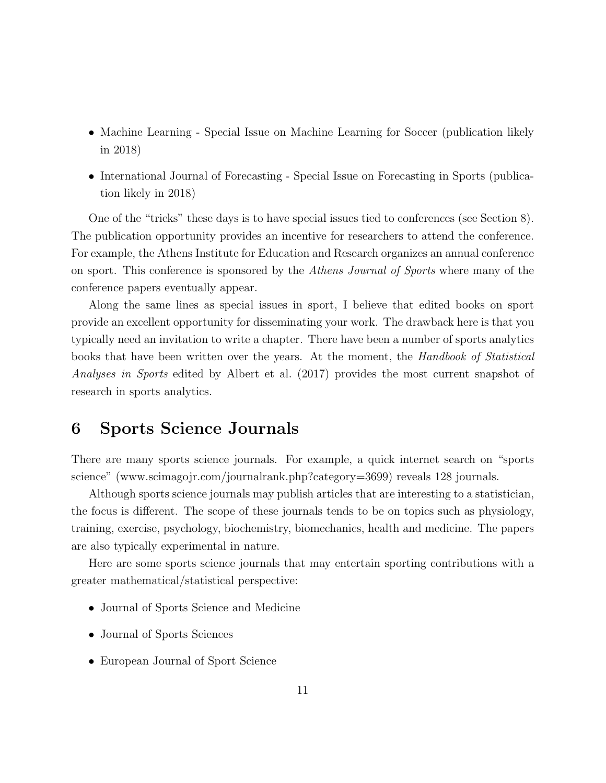- Machine Learning Special Issue on Machine Learning for Soccer (publication likely in 2018)
- International Journal of Forecasting Special Issue on Forecasting in Sports (publication likely in 2018)

One of the "tricks" these days is to have special issues tied to conferences (see Section 8). The publication opportunity provides an incentive for researchers to attend the conference. For example, the Athens Institute for Education and Research organizes an annual conference on sport. This conference is sponsored by the Athens Journal of Sports where many of the conference papers eventually appear.

Along the same lines as special issues in sport, I believe that edited books on sport provide an excellent opportunity for disseminating your work. The drawback here is that you typically need an invitation to write a chapter. There have been a number of sports analytics books that have been written over the years. At the moment, the Handbook of Statistical Analyses in Sports edited by Albert et al. (2017) provides the most current snapshot of research in sports analytics.

### 6 Sports Science Journals

There are many sports science journals. For example, a quick internet search on "sports science" (www.scimagojr.com/journalrank.php?category=3699) reveals 128 journals.

Although sports science journals may publish articles that are interesting to a statistician, the focus is different. The scope of these journals tends to be on topics such as physiology, training, exercise, psychology, biochemistry, biomechanics, health and medicine. The papers are also typically experimental in nature.

Here are some sports science journals that may entertain sporting contributions with a greater mathematical/statistical perspective:

- Journal of Sports Science and Medicine
- Journal of Sports Sciences
- European Journal of Sport Science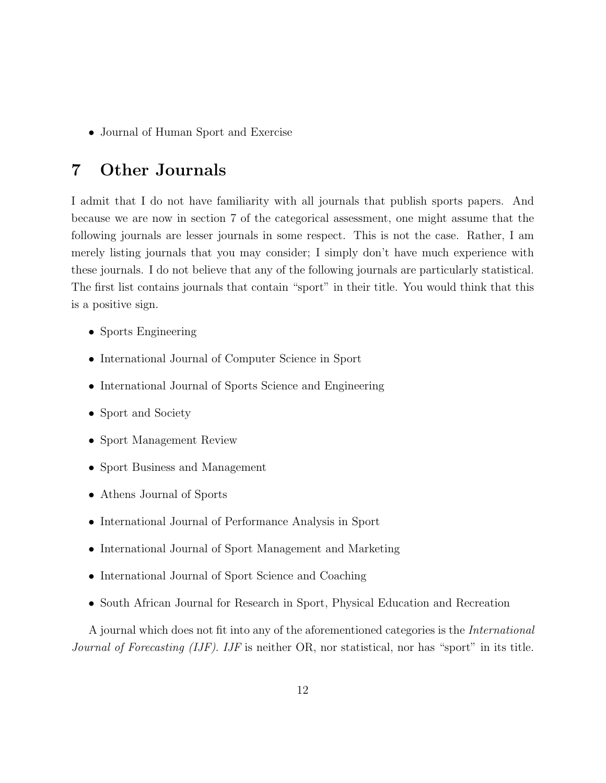• Journal of Human Sport and Exercise

# 7 Other Journals

I admit that I do not have familiarity with all journals that publish sports papers. And because we are now in section 7 of the categorical assessment, one might assume that the following journals are lesser journals in some respect. This is not the case. Rather, I am merely listing journals that you may consider; I simply don't have much experience with these journals. I do not believe that any of the following journals are particularly statistical. The first list contains journals that contain "sport" in their title. You would think that this is a positive sign.

- Sports Engineering
- International Journal of Computer Science in Sport
- International Journal of Sports Science and Engineering
- Sport and Society
- Sport Management Review
- Sport Business and Management
- Athens Journal of Sports
- International Journal of Performance Analysis in Sport
- International Journal of Sport Management and Marketing
- International Journal of Sport Science and Coaching
- South African Journal for Research in Sport, Physical Education and Recreation

A journal which does not fit into any of the aforementioned categories is the International Journal of Forecasting *(IJF)*. *IJF* is neither OR, nor statistical, nor has "sport" in its title.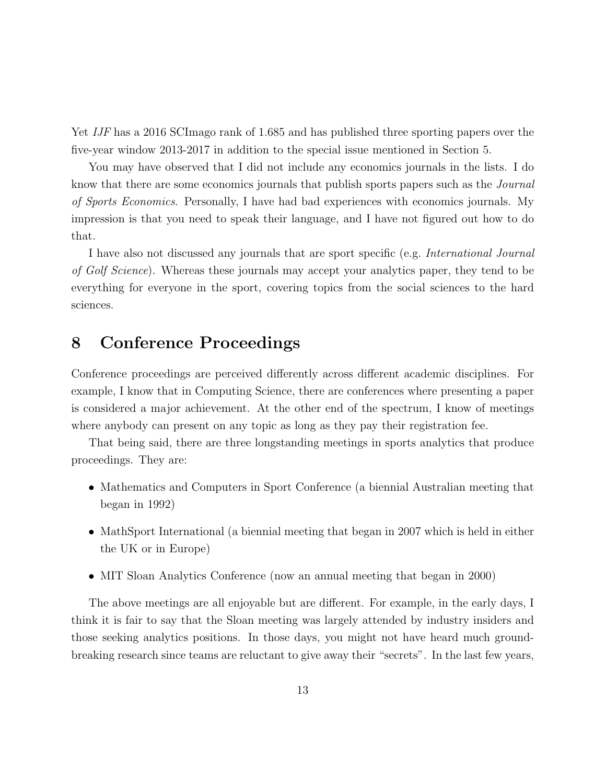Yet IJF has a 2016 SCImago rank of 1.685 and has published three sporting papers over the five-year window 2013-2017 in addition to the special issue mentioned in Section 5.

You may have observed that I did not include any economics journals in the lists. I do know that there are some economics journals that publish sports papers such as the Journal of Sports Economics. Personally, I have had bad experiences with economics journals. My impression is that you need to speak their language, and I have not figured out how to do that.

I have also not discussed any journals that are sport specific (e.g. International Journal of Golf Science). Whereas these journals may accept your analytics paper, they tend to be everything for everyone in the sport, covering topics from the social sciences to the hard sciences.

## 8 Conference Proceedings

Conference proceedings are perceived differently across different academic disciplines. For example, I know that in Computing Science, there are conferences where presenting a paper is considered a major achievement. At the other end of the spectrum, I know of meetings where anybody can present on any topic as long as they pay their registration fee.

That being said, there are three longstanding meetings in sports analytics that produce proceedings. They are:

- Mathematics and Computers in Sport Conference (a biennial Australian meeting that began in 1992)
- MathSport International (a biennial meeting that began in 2007 which is held in either the UK or in Europe)
- MIT Sloan Analytics Conference (now an annual meeting that began in 2000)

The above meetings are all enjoyable but are different. For example, in the early days, I think it is fair to say that the Sloan meeting was largely attended by industry insiders and those seeking analytics positions. In those days, you might not have heard much groundbreaking research since teams are reluctant to give away their "secrets". In the last few years,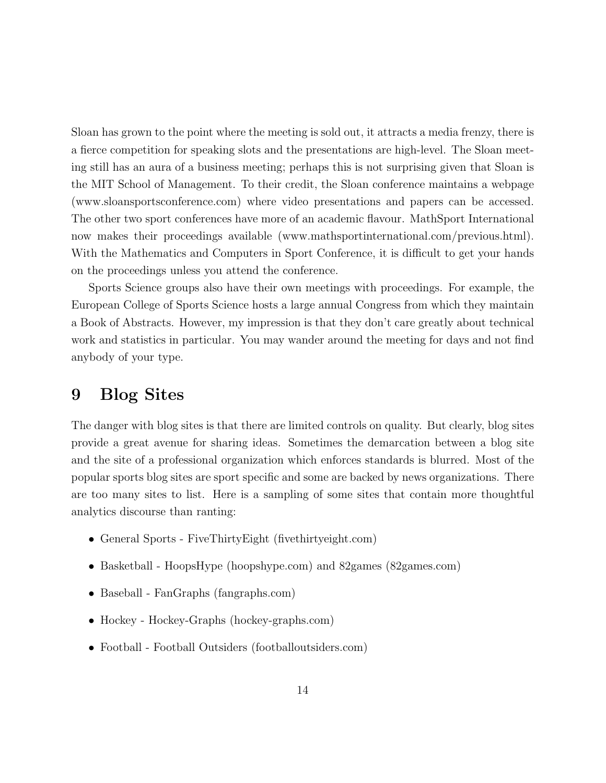Sloan has grown to the point where the meeting is sold out, it attracts a media frenzy, there is a fierce competition for speaking slots and the presentations are high-level. The Sloan meeting still has an aura of a business meeting; perhaps this is not surprising given that Sloan is the MIT School of Management. To their credit, the Sloan conference maintains a webpage (www.sloansportsconference.com) where video presentations and papers can be accessed. The other two sport conferences have more of an academic flavour. MathSport International now makes their proceedings available (www.mathsportinternational.com/previous.html). With the Mathematics and Computers in Sport Conference, it is difficult to get your hands on the proceedings unless you attend the conference.

Sports Science groups also have their own meetings with proceedings. For example, the European College of Sports Science hosts a large annual Congress from which they maintain a Book of Abstracts. However, my impression is that they don't care greatly about technical work and statistics in particular. You may wander around the meeting for days and not find anybody of your type.

### 9 Blog Sites

The danger with blog sites is that there are limited controls on quality. But clearly, blog sites provide a great avenue for sharing ideas. Sometimes the demarcation between a blog site and the site of a professional organization which enforces standards is blurred. Most of the popular sports blog sites are sport specific and some are backed by news organizations. There are too many sites to list. Here is a sampling of some sites that contain more thoughtful analytics discourse than ranting:

- General Sports FiveThirtyEight (fivethirtyeight.com)
- Basketball HoopsHype (hoopshype.com) and 82games (82games.com)
- Baseball FanGraphs (fangraphs.com)
- Hockey Hockey-Graphs (hockey-graphs.com)
- Football Football Outsiders (footballoutsiders.com)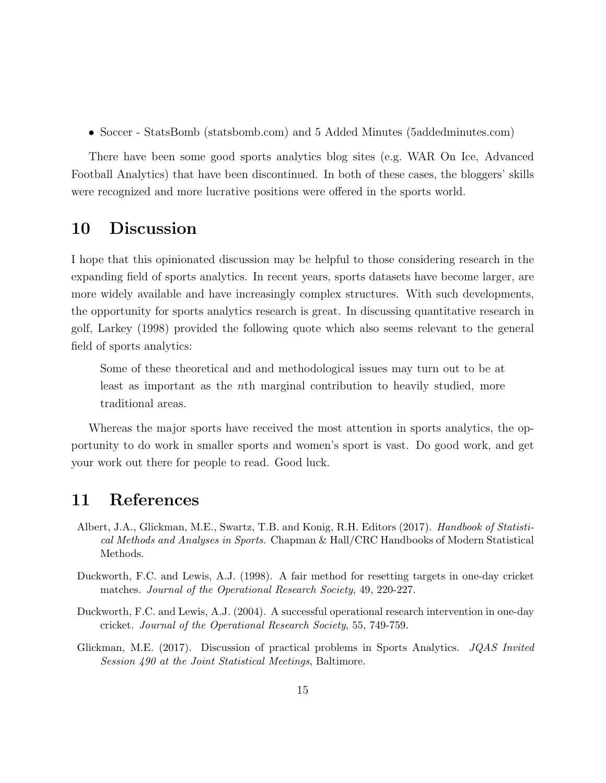• Soccer - StatsBomb (statsbomb.com) and 5 Added Minutes (5addedminutes.com)

There have been some good sports analytics blog sites (e.g. WAR On Ice, Advanced Football Analytics) that have been discontinued. In both of these cases, the bloggers' skills were recognized and more lucrative positions were offered in the sports world.

### 10 Discussion

I hope that this opinionated discussion may be helpful to those considering research in the expanding field of sports analytics. In recent years, sports datasets have become larger, are more widely available and have increasingly complex structures. With such developments, the opportunity for sports analytics research is great. In discussing quantitative research in golf, Larkey (1998) provided the following quote which also seems relevant to the general field of sports analytics:

Some of these theoretical and and methodological issues may turn out to be at least as important as the nth marginal contribution to heavily studied, more traditional areas.

Whereas the major sports have received the most attention in sports analytics, the opportunity to do work in smaller sports and women's sport is vast. Do good work, and get your work out there for people to read. Good luck.

#### 11 References

- Albert, J.A., Glickman, M.E., Swartz, T.B. and Konig, R.H. Editors (2017). Handbook of Statistical Methods and Analyses in Sports. Chapman & Hall/CRC Handbooks of Modern Statistical Methods.
- Duckworth, F.C. and Lewis, A.J. (1998). A fair method for resetting targets in one-day cricket matches. Journal of the Operational Research Society, 49, 220-227.
- Duckworth, F.C. and Lewis, A.J. (2004). A successful operational research intervention in one-day cricket. Journal of the Operational Research Society, 55, 749-759.
- Glickman, M.E. (2017). Discussion of practical problems in Sports Analytics. JQAS Invited Session 490 at the Joint Statistical Meetings, Baltimore.